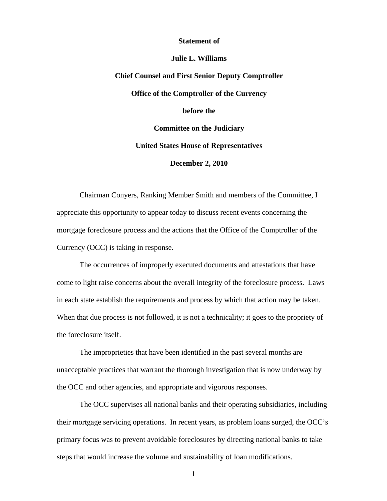## **Statement of**

## **Julie L. Williams**

## **Chief Counsel and First Senior Deputy Comptroller Office of the Comptroller of the Currency before the Committee on the Judiciary United States House of Representatives December 2, 2010**

Chairman Conyers, Ranking Member Smith and members of the Committee, I appreciate this opportunity to appear today to discuss recent events concerning the mortgage foreclosure process and the actions that the Office of the Comptroller of the Currency (OCC) is taking in response.

The occurrences of improperly executed documents and attestations that have come to light raise concerns about the overall integrity of the foreclosure process. Laws in each state establish the requirements and process by which that action may be taken. When that due process is not followed, it is not a technicality; it goes to the propriety of the foreclosure itself.

The improprieties that have been identified in the past several months are unacceptable practices that warrant the thorough investigation that is now underway by the OCC and other agencies, and appropriate and vigorous responses.

The OCC supervises all national banks and their operating subsidiaries, including their mortgage servicing operations. In recent years, as problem loans surged, the OCC's primary focus was to prevent avoidable foreclosures by directing national banks to take steps that would increase the volume and sustainability of loan modifications.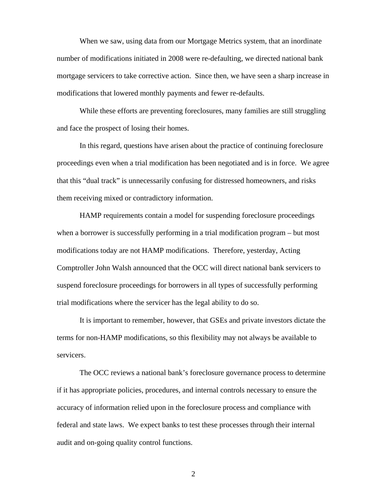When we saw, using data from our Mortgage Metrics system, that an inordinate number of modifications initiated in 2008 were re-defaulting, we directed national bank mortgage servicers to take corrective action. Since then, we have seen a sharp increase in modifications that lowered monthly payments and fewer re-defaults.

While these efforts are preventing foreclosures, many families are still struggling and face the prospect of losing their homes.

In this regard, questions have arisen about the practice of continuing foreclosure proceedings even when a trial modification has been negotiated and is in force. We agree that this "dual track" is unnecessarily confusing for distressed homeowners, and risks them receiving mixed or contradictory information.

HAMP requirements contain a model for suspending foreclosure proceedings when a borrower is successfully performing in a trial modification program – but most modifications today are not HAMP modifications. Therefore, yesterday, Acting Comptroller John Walsh announced that the OCC will direct national bank servicers to suspend foreclosure proceedings for borrowers in all types of successfully performing trial modifications where the servicer has the legal ability to do so.

It is important to remember, however, that GSEs and private investors dictate the terms for non-HAMP modifications, so this flexibility may not always be available to servicers.

The OCC reviews a national bank's foreclosure governance process to determine if it has appropriate policies, procedures, and internal controls necessary to ensure the accuracy of information relied upon in the foreclosure process and compliance with federal and state laws. We expect banks to test these processes through their internal audit and on-going quality control functions.

2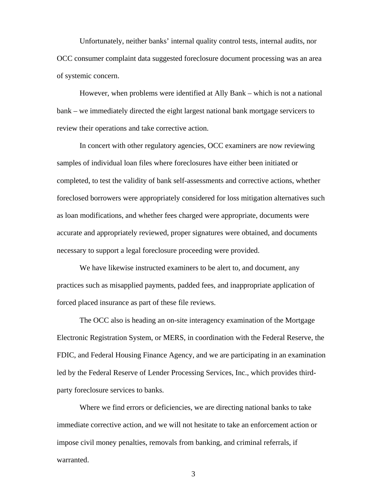Unfortunately, neither banks' internal quality control tests, internal audits, nor OCC consumer complaint data suggested foreclosure document processing was an area of systemic concern.

However, when problems were identified at Ally Bank – which is not a national bank – we immediately directed the eight largest national bank mortgage servicers to review their operations and take corrective action.

In concert with other regulatory agencies, OCC examiners are now reviewing samples of individual loan files where foreclosures have either been initiated or completed, to test the validity of bank self-assessments and corrective actions, whether foreclosed borrowers were appropriately considered for loss mitigation alternatives such as loan modifications, and whether fees charged were appropriate, documents were accurate and appropriately reviewed, proper signatures were obtained, and documents necessary to support a legal foreclosure proceeding were provided.

We have likewise instructed examiners to be alert to, and document, any practices such as misapplied payments, padded fees, and inappropriate application of forced placed insurance as part of these file reviews.

The OCC also is heading an on-site interagency examination of the Mortgage Electronic Registration System, or MERS, in coordination with the Federal Reserve, the FDIC, and Federal Housing Finance Agency, and we are participating in an examination led by the Federal Reserve of Lender Processing Services, Inc., which provides thirdparty foreclosure services to banks.

Where we find errors or deficiencies, we are directing national banks to take immediate corrective action, and we will not hesitate to take an enforcement action or impose civil money penalties, removals from banking, and criminal referrals, if warranted.

3